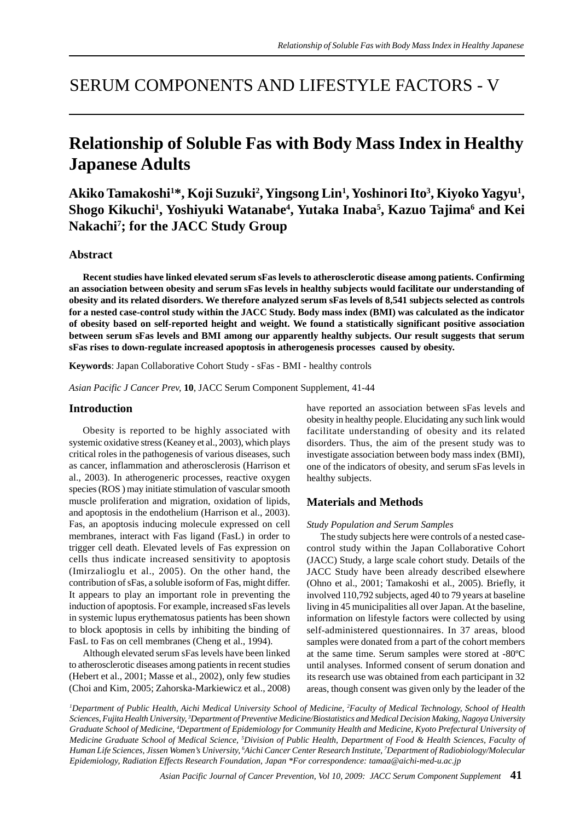# SERUM COMPONENTS AND LIFESTYLE FACTORS - V

# **Relationship of Soluble Fas with Body Mass Index in Healthy Japanese Adults**

**Akiko Tamakoshi1 \*, Koji Suzuki2 , Yingsong Lin1 , Yoshinori Ito3 , Kiyoko Yagyu1 , Shogo Kikuchi1 , Yoshiyuki Watanabe4 , Yutaka Inaba5 , Kazuo Tajima6 and Kei Nakachi7 ; for the JACC Study Group**

# **Abstract**

**Recent studies have linked elevated serum sFas levels to atherosclerotic disease among patients. Confirming an association between obesity and serum sFas levels in healthy subjects would facilitate our understanding of obesity and its related disorders. We therefore analyzed serum sFas levels of 8,541 subjects selected as controls for a nested case-control study within the JACC Study. Body mass index (BMI) was calculated as the indicator of obesity based on self-reported height and weight. We found a statistically significant positive association between serum sFas levels and BMI among our apparently healthy subjects. Our result suggests that serum sFas rises to down-regulate increased apoptosis in atherogenesis processes caused by obesity.**

**Keywords**: Japan Collaborative Cohort Study - sFas - BMI - healthy controls

*Asian Pacific J Cancer Prev,* **10**, JACC Serum Component Supplement, 41-44

### **Introduction**

Obesity is reported to be highly associated with systemic oxidative stress (Keaney et al., 2003), which plays critical roles in the pathogenesis of various diseases, such as cancer, inflammation and atherosclerosis (Harrison et al., 2003). In atherogeneric processes, reactive oxygen species (ROS ) may initiate stimulation of vascular smooth muscle proliferation and migration, oxidation of lipids, and apoptosis in the endothelium (Harrison et al., 2003). Fas, an apoptosis inducing molecule expressed on cell membranes, interact with Fas ligand (FasL) in order to trigger cell death. Elevated levels of Fas expression on cells thus indicate increased sensitivity to apoptosis (Imirzalioglu et al., 2005). On the other hand, the contribution of sFas, a soluble isoform of Fas, might differ. It appears to play an important role in preventing the induction of apoptosis. For example, increased sFas levels in systemic lupus erythematosus patients has been shown to block apoptosis in cells by inhibiting the binding of FasL to Fas on cell membranes (Cheng et al., 1994).

Although elevated serum sFas levels have been linked to atherosclerotic diseases among patients in recent studies (Hebert et al., 2001; Masse et al., 2002), only few studies (Choi and Kim, 2005; Zahorska-Markiewicz et al., 2008) have reported an association between sFas levels and obesity in healthy people. Elucidating any such link would facilitate understanding of obesity and its related disorders. Thus, the aim of the present study was to investigate association between body mass index (BMI), one of the indicators of obesity, and serum sFas levels in healthy subjects.

## **Materials and Methods**

#### *Study Population and Serum Samples*

The study subjects here were controls of a nested casecontrol study within the Japan Collaborative Cohort (JACC) Study, a large scale cohort study. Details of the JACC Study have been already described elsewhere (Ohno et al., 2001; Tamakoshi et al., 2005). Briefly, it involved 110,792 subjects, aged 40 to 79 years at baseline living in 45 municipalities all over Japan. At the baseline, information on lifestyle factors were collected by using self-administered questionnaires. In 37 areas, blood samples were donated from a part of the cohort members at the same time. Serum samples were stored at -80ºC until analyses. Informed consent of serum donation and its research use was obtained from each participant in 32 areas, though consent was given only by the leader of the

*1 Department of Public Health, Aichi Medical University School of Medicine, 2 Faculty of Medical Technology, School of Health Sciences, Fujita Health University, 3 Department of Preventive Medicine/Biostatistics and Medical Decision Making, Nagoya University Graduate School of Medicine, 4 Department of Epidemiology for Community Health and Medicine, Kyoto Prefectural University of Medicine Graduate School of Medical Science, 5 Division of Public Health, Department of Food & Health Sciences, Faculty of Human Life Sciences, Jissen Women's University, 6 Aichi Cancer Center Research Institute, 7 Department of Radiobiology/Molecular Epidemiology, Radiation Effects Research Foundation, Japan \*For correspondence: tamaa@aichi-med-u.ac.jp*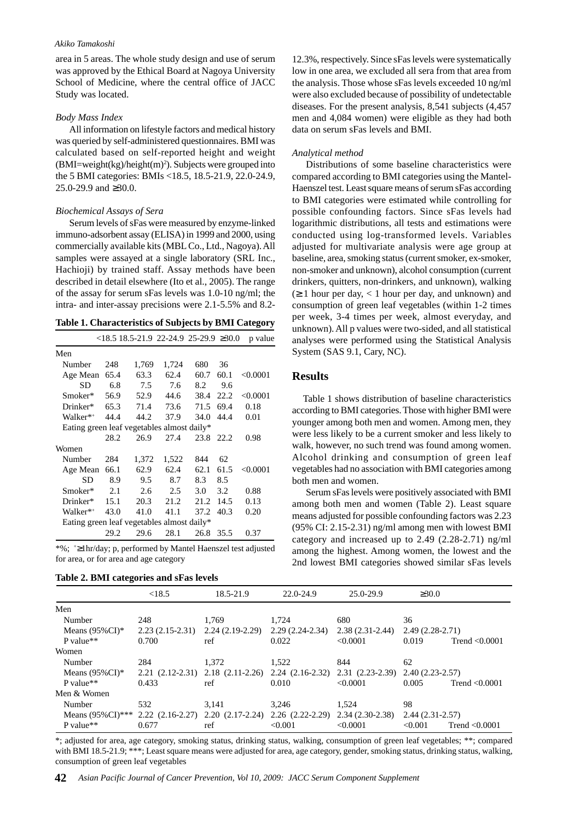#### *Akiko Tamakoshi*

area in 5 areas. The whole study design and use of serum was approved by the Ethical Board at Nagoya University School of Medicine, where the central office of JACC Study was located.

#### *Body Mass Index*

All information on lifestyle factors and medical history was queried by self-administered questionnaires. BMI was calculated based on self-reported height and weight (BMI=weight(kg)/height(m)2 ). Subjects were grouped into the 5 BMI categories: BMIs <18.5, 18.5-21.9, 22.0-24.9, 25.0-29.9 and ≥30.0.

### *Biochemical Assays of Sera*

Serum levels of sFas were measured by enzyme-linked immuno-adsorbent assay (ELISA) in 1999 and 2000, using commercially available kits (MBL Co., Ltd., Nagoya). All samples were assayed at a single laboratory (SRL Inc., Hachioji) by trained staff. Assay methods have been described in detail elsewhere (Ito et al., 2005). The range of the assay for serum sFas levels was 1.0-10 ng/ml; the intra- and inter-assay precisions were 2.1-5.5% and 8.2-

**Table 1. Characteristics of Subjects by BMI Category**

|                                            | $\langle 18.5 18.5 - 21.9 22 - 24.9 25 - 29.9 \rangle$ ≥30.0 |       |               |      |      | p value  |  |
|--------------------------------------------|--------------------------------------------------------------|-------|---------------|------|------|----------|--|
| Men                                        |                                                              |       |               |      |      |          |  |
| Number                                     | 248                                                          | 1,769 | 1,724         | 680  | 36   |          |  |
| Age Mean                                   | 65.4                                                         | 63.3  | 62.4          | 60.7 | 60.1 | < 0.0001 |  |
| SD                                         | 6.8                                                          | 7.5   | 7.6           | 8.2  | 9.6  |          |  |
| Smoker*                                    | 56.9                                                         | 52.9  | 44.6          | 38.4 | 22.2 | < 0.0001 |  |
| Drinker*                                   | 65.3                                                         | 71.4  | 73.6          | 71.5 | 69.4 | 0.18     |  |
| Walker*+                                   | 44.4                                                         | 44.2  | 37.9          | 34.0 | 44.4 | 0.01     |  |
| Eating green leaf vegetables almost daily* |                                                              |       |               |      |      |          |  |
|                                            | 28.2                                                         | 26.9  | 27.4          | 23.8 | 22.2 | 0.98     |  |
| Women                                      |                                                              |       |               |      |      |          |  |
| Number                                     | 284                                                          | 1,372 | 1,522         | 844  | 62   |          |  |
| Age Mean                                   | 66.1                                                         | 62.9  | 62.4          | 62.1 | 61.5 | < 0.0001 |  |
| SD                                         | 8.9                                                          | 9.5   | 8.7           | 8.3  | 8.5  |          |  |
| Smoker*                                    | 2.1                                                          | 2.6   | $2.5^{\circ}$ | 3.0  | 3.2  | 0.88     |  |
| Drinker*                                   | 15.1                                                         | 20.3  | 21.2          | 21.2 | 14.5 | 0.13     |  |
| Walker* <sup>+</sup>                       | 43.0                                                         | 41.0  | 41.1          | 37.2 | 40.3 | 0.20     |  |
| Eating green leaf vegetables almost daily* |                                                              |       |               |      |      |          |  |
|                                            | 29.2                                                         | 29.6  | 28.1          | 26.8 | 35.5 | 0.37     |  |

\*%; + ≥1hr/day; p, performed by Mantel Haenszel test adjusted for area, or for area and age category

|  |  |  | Table 2. BMI categories and sFas levels |  |  |  |
|--|--|--|-----------------------------------------|--|--|--|
|--|--|--|-----------------------------------------|--|--|--|

12.3%, respectively. Since sFas levels were systematically low in one area, we excluded all sera from that area from the analysis. Those whose sFas levels exceeded 10 ng/ml were also excluded because of possibility of undetectable diseases. For the present analysis, 8,541 subjects (4,457 men and 4,084 women) were eligible as they had both data on serum sFas levels and BMI.

#### *Analytical method*

Distributions of some baseline characteristics were compared according to BMI categories using the Mantel-Haenszel test. Least square means of serum sFas according to BMI categories were estimated while controlling for possible confounding factors. Since sFas levels had logarithmic distributions, all tests and estimations were conducted using log-transformed levels. Variables adjusted for multivariate analysis were age group at baseline, area, smoking status (current smoker, ex-smoker, non-smoker and unknown), alcohol consumption (current drinkers, quitters, non-drinkers, and unknown), walking  $(\geq 1$  hour per day,  $\lt 1$  hour per day, and unknown) and consumption of green leaf vegetables (within 1-2 times per week, 3-4 times per week, almost everyday, and unknown). All p values were two-sided, and all statistical analyses were performed using the Statistical Analysis System (SAS 9.1, Cary, NC).

## **Results**

 Table 1 shows distribution of baseline characteristics according to BMI categories. Those with higher BMI were younger among both men and women. Among men, they were less likely to be a current smoker and less likely to walk, however, no such trend was found among women. Alcohol drinking and consumption of green leaf vegetables had no association with BMI categories among both men and women.

Serum sFas levels were positively associated with BMI among both men and women (Table 2). Least square means adjusted for possible confounding factors was 2.23 (95% CI: 2.15-2.31) ng/ml among men with lowest BMI category and increased up to 2.49 (2.28-2.71) ng/ml among the highest. Among women, the lowest and the 2nd lowest BMI categories showed similar sFas levels

| Table 2. Divil categories and st as levels      |                   |                                           |                                           |                   |                   |                  |  |  |
|-------------------------------------------------|-------------------|-------------------------------------------|-------------------------------------------|-------------------|-------------------|------------------|--|--|
|                                                 | < 18.5            | 18.5-21.9                                 | 22.0-24.9                                 | 25.0-29.9         | $\geq 30.0$       |                  |  |  |
| Men                                             |                   |                                           |                                           |                   |                   |                  |  |  |
| Number                                          | 248               | 1.769                                     | 1.724                                     | 680               | 36                |                  |  |  |
| Means $(95\%CI)^*$                              | $2.23(2.15-2.31)$ | $2.24(2.19-2.29)$                         | $2.29(2.24-2.34)$                         | $2.38(2.31-2.44)$ | $2.49(2.28-2.71)$ |                  |  |  |
| $P value**$                                     | 0.700             | ref                                       | 0.022                                     | < 0.0001          | 0.019             | Trend $< 0.0001$ |  |  |
| Women                                           |                   |                                           |                                           |                   |                   |                  |  |  |
| Number                                          | 284               | 1.372                                     | 1,522                                     | 844               | 62                |                  |  |  |
| Means $(95\%CI)*$                               |                   | $2.21$ $(2.12-2.31)$ $2.18$ $(2.11-2.26)$ | $2.24$ $(2.16-2.32)$ $2.31$ $(2.23-2.39)$ |                   | $2.40(2.23-2.57)$ |                  |  |  |
| $P value**$                                     | 0.433             | ref                                       | 0.010                                     | < 0.0001          | 0.005             | Trend $< 0.0001$ |  |  |
| Men & Women                                     |                   |                                           |                                           |                   |                   |                  |  |  |
| Number                                          | 532               | 3.141                                     | 3,246                                     | 1.524             | 98                |                  |  |  |
| Means $(95\% \text{CI})$ *** 2.22 $(2.16-2.27)$ |                   | $2.20(2.17-2.24)$                         | $2.26$ $(2.22 - 2.29)$                    | $2.34(2.30-2.38)$ | $2.44(2.31-2.57)$ |                  |  |  |
| $P$ value**                                     | 0.677             | ref                                       | < 0.001                                   | < 0.0001          | < 0.001           | Trend $< 0.0001$ |  |  |
|                                                 |                   |                                           |                                           |                   |                   |                  |  |  |

\*; adjusted for area, age category, smoking status, drinking status, walking, consumption of green leaf vegetables; \*\*; compared with BMI 18.5-21.9; \*\*\*; Least square means were adjusted for area, age category, gender, smoking status, drinking status, walking, consumption of green leaf vegetables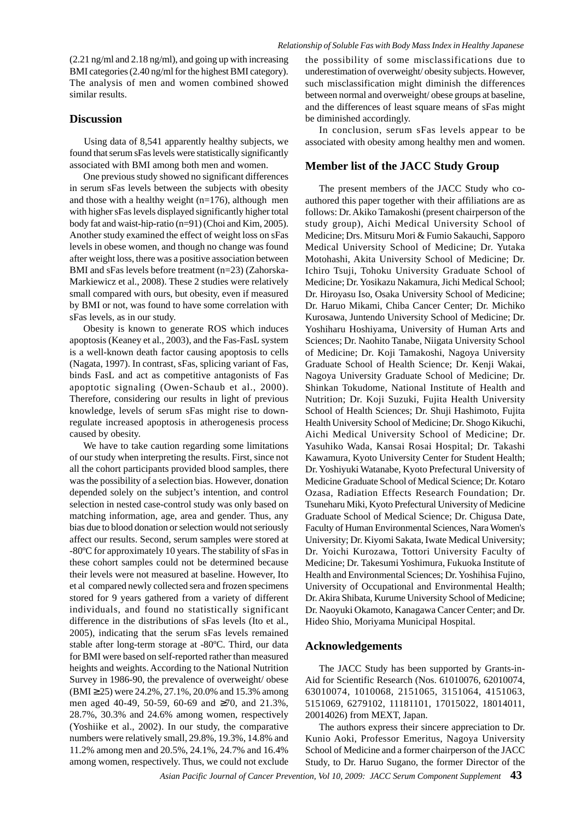(2.21 ng/ml and 2.18 ng/ml), and going up with increasing BMI categories (2.40 ng/ml for the highest BMI category). The analysis of men and women combined showed similar results.

## **Discussion**

 Using data of 8,541 apparently healthy subjects, we found that serum sFas levels were statistically significantly associated with BMI among both men and women.

One previous study showed no significant differences in serum sFas levels between the subjects with obesity and those with a healthy weight (n=176), although men with higher sFas levels displayed significantly higher total body fat and waist-hip-ratio (n=91) (Choi and Kim, 2005). Another study examined the effect of weight loss on sFas levels in obese women, and though no change was found after weight loss, there was a positive association between BMI and sFas levels before treatment (n=23) (Zahorska-Markiewicz et al., 2008). These 2 studies were relatively small compared with ours, but obesity, even if measured by BMI or not, was found to have some correlation with sFas levels, as in our study.

Obesity is known to generate ROS which induces apoptosis (Keaney et al., 2003), and the Fas-FasL system is a well-known death factor causing apoptosis to cells (Nagata, 1997). In contrast, sFas, splicing variant of Fas, binds FasL and act as competitive antagonists of Fas apoptotic signaling (Owen-Schaub et al., 2000). Therefore, considering our results in light of previous knowledge, levels of serum sFas might rise to downregulate increased apoptosis in atherogenesis process caused by obesity.

We have to take caution regarding some limitations of our study when interpreting the results. First, since not all the cohort participants provided blood samples, there was the possibility of a selection bias. However, donation depended solely on the subject's intention, and control selection in nested case-control study was only based on matching information, age, area and gender. Thus, any bias due to blood donation or selection would not seriously affect our results. Second, serum samples were stored at -80ºC for approximately 10 years. The stability of sFas in these cohort samples could not be determined because their levels were not measured at baseline. However, Ito et al compared newly collected sera and frozen specimens stored for 9 years gathered from a variety of different individuals, and found no statistically significant difference in the distributions of sFas levels (Ito et al., 2005), indicating that the serum sFas levels remained stable after long-term storage at -80ºC. Third, our data for BMI were based on self-reported rather than measured heights and weights. According to the National Nutrition Survey in 1986-90, the prevalence of overweight/ obese (BMI ≥ 25) were 24.2%, 27.1%, 20.0% and 15.3% among men aged 40-49, 50-59, 60-69 and ≥70, and 21.3%, 28.7%, 30.3% and 24.6% among women, respectively (Yoshiike et al., 2002). In our study, the comparative numbers were relatively small, 29.8%, 19.3%, 14.8% and 11.2% among men and 20.5%, 24.1%, 24.7% and 16.4% among women, respectively. Thus, we could not exclude

the possibility of some misclassifications due to underestimation of overweight/ obesity subjects. However, such misclassification might diminish the differences between normal and overweight/ obese groups at baseline, and the differences of least square means of sFas might be diminished accordingly.

In conclusion, serum sFas levels appear to be associated with obesity among healthy men and women.

# **Member list of the JACC Study Group**

The present members of the JACC Study who coauthored this paper together with their affiliations are as follows: Dr. Akiko Tamakoshi (present chairperson of the study group), Aichi Medical University School of Medicine; Drs. Mitsuru Mori & Fumio Sakauchi, Sapporo Medical University School of Medicine; Dr. Yutaka Motohashi, Akita University School of Medicine; Dr. Ichiro Tsuji, Tohoku University Graduate School of Medicine; Dr. Yosikazu Nakamura, Jichi Medical School; Dr. Hiroyasu Iso, Osaka University School of Medicine; Dr. Haruo Mikami, Chiba Cancer Center; Dr. Michiko Kurosawa, Juntendo University School of Medicine; Dr. Yoshiharu Hoshiyama, University of Human Arts and Sciences; Dr. Naohito Tanabe, Niigata University School of Medicine; Dr. Koji Tamakoshi, Nagoya University Graduate School of Health Science; Dr. Kenji Wakai, Nagoya University Graduate School of Medicine; Dr. Shinkan Tokudome, National Institute of Health and Nutrition; Dr. Koji Suzuki, Fujita Health University School of Health Sciences; Dr. Shuji Hashimoto, Fujita Health University School of Medicine; Dr. Shogo Kikuchi, Aichi Medical University School of Medicine; Dr. Yasuhiko Wada, Kansai Rosai Hospital; Dr. Takashi Kawamura, Kyoto University Center for Student Health; Dr. Yoshiyuki Watanabe, Kyoto Prefectural University of Medicine Graduate School of Medical Science; Dr. Kotaro Ozasa, Radiation Effects Research Foundation; Dr. Tsuneharu Miki, Kyoto Prefectural University of Medicine Graduate School of Medical Science; Dr. Chigusa Date, Faculty of Human Environmental Sciences, Nara Women's University; Dr. Kiyomi Sakata, Iwate Medical University; Dr. Yoichi Kurozawa, Tottori University Faculty of Medicine; Dr. Takesumi Yoshimura, Fukuoka Institute of Health and Environmental Sciences; Dr. Yoshihisa Fujino, University of Occupational and Environmental Health; Dr. Akira Shibata, Kurume University School of Medicine; Dr. Naoyuki Okamoto, Kanagawa Cancer Center; and Dr. Hideo Shio, Moriyama Municipal Hospital.

## **Acknowledgements**

The JACC Study has been supported by Grants-in-Aid for Scientific Research (Nos. 61010076, 62010074, 63010074, 1010068, 2151065, 3151064, 4151063, 5151069, 6279102, 11181101, 17015022, 18014011, 20014026) from MEXT, Japan.

The authors express their sincere appreciation to Dr. Kunio Aoki, Professor Emeritus, Nagoya University School of Medicine and a former chairperson of the JACC Study, to Dr. Haruo Sugano, the former Director of the